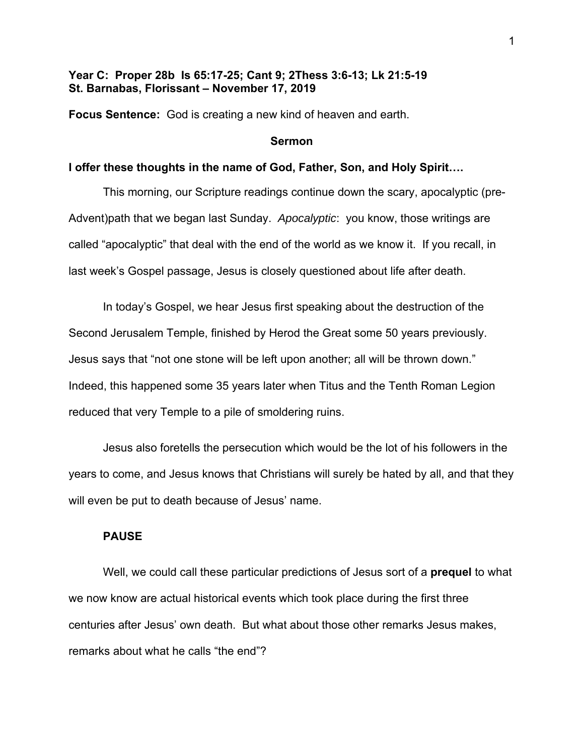# **Year C: Proper 28b Is 65:17-25; Cant 9; 2Thess 3:6-13; Lk 21:5-19 St. Barnabas, Florissant – November 17, 2019**

**Focus Sentence:** God is creating a new kind of heaven and earth.

#### **Sermon**

### **I offer these thoughts in the name of God, Father, Son, and Holy Spirit….**

This morning, our Scripture readings continue down the scary, apocalyptic (pre-Advent)path that we began last Sunday. *Apocalyptic*: you know, those writings are called "apocalyptic" that deal with the end of the world as we know it. If you recall, in last week's Gospel passage, Jesus is closely questioned about life after death.

In today's Gospel, we hear Jesus first speaking about the destruction of the Second Jerusalem Temple, finished by Herod the Great some 50 years previously. Jesus says that "not one stone will be left upon another; all will be thrown down." Indeed, this happened some 35 years later when Titus and the Tenth Roman Legion reduced that very Temple to a pile of smoldering ruins.

Jesus also foretells the persecution which would be the lot of his followers in the years to come, and Jesus knows that Christians will surely be hated by all, and that they will even be put to death because of Jesus' name.

## **PAUSE**

Well, we could call these particular predictions of Jesus sort of a **prequel** to what we now know are actual historical events which took place during the first three centuries after Jesus' own death. But what about those other remarks Jesus makes, remarks about what he calls "the end"?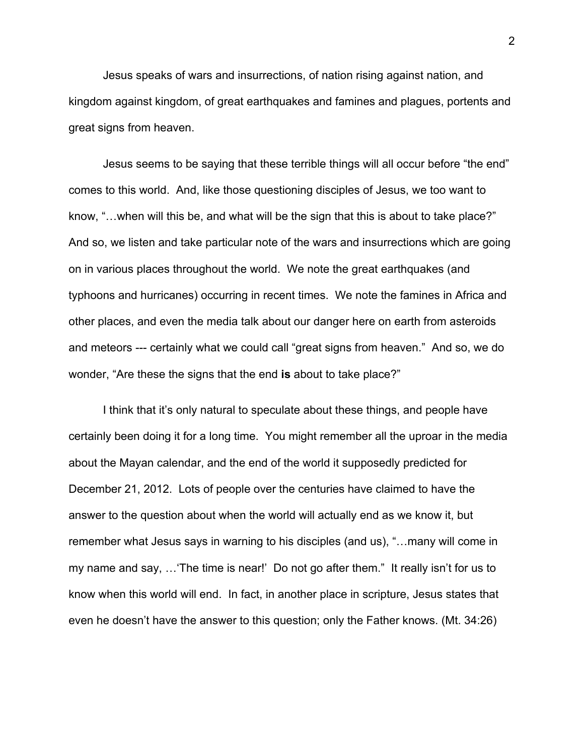Jesus speaks of wars and insurrections, of nation rising against nation, and kingdom against kingdom, of great earthquakes and famines and plagues, portents and great signs from heaven.

Jesus seems to be saying that these terrible things will all occur before "the end" comes to this world. And, like those questioning disciples of Jesus, we too want to know, "…when will this be, and what will be the sign that this is about to take place?" And so, we listen and take particular note of the wars and insurrections which are going on in various places throughout the world. We note the great earthquakes (and typhoons and hurricanes) occurring in recent times. We note the famines in Africa and other places, and even the media talk about our danger here on earth from asteroids and meteors --- certainly what we could call "great signs from heaven." And so, we do wonder, "Are these the signs that the end **is** about to take place?"

I think that it's only natural to speculate about these things, and people have certainly been doing it for a long time. You might remember all the uproar in the media about the Mayan calendar, and the end of the world it supposedly predicted for December 21, 2012. Lots of people over the centuries have claimed to have the answer to the question about when the world will actually end as we know it, but remember what Jesus says in warning to his disciples (and us), "…many will come in my name and say, …'The time is near!' Do not go after them." It really isn't for us to know when this world will end. In fact, in another place in scripture, Jesus states that even he doesn't have the answer to this question; only the Father knows. (Mt. 34:26)

2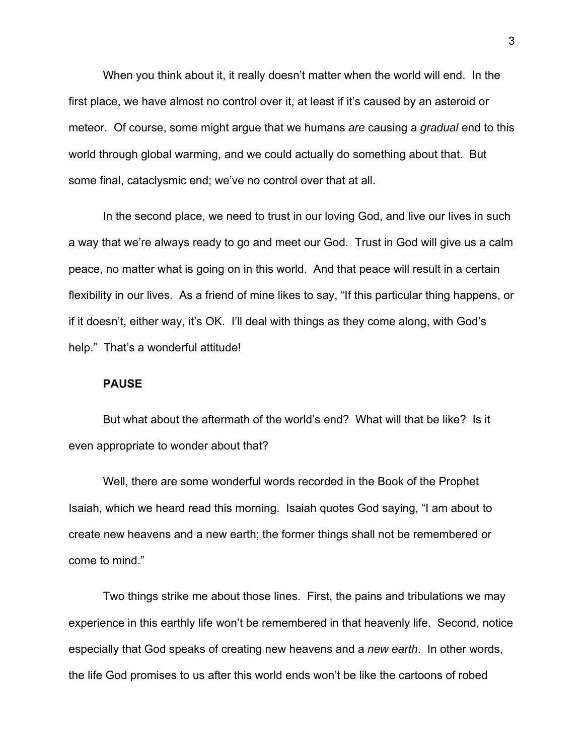When you think about it, it really doesn't matter when the world will end. In the first place, we have almost no control over it, at least if it's caused by an asteroid or meteor. Of course, some might argue that we humans *are* causing a *gradual* end to this world through global warming, and we could actually do something about that. But some final, cataclysmic end; we've no control over that at all.

In the second place, we need to trust in our loving God, and live our lives in such a way that we're always ready to go and meet our God. Trust in God will give us a calm peace, no matter what is going on in this world. And that peace will result in a certain flexibility in our lives. As a friend of mine likes to say, "If this particular thing happens, or if it doesn't, either way, it's OK. I'll deal with things as they come along, with God's help." That's a wonderful attitude!

### **PAUSE**

But what about the aftermath of the world's end? What will that be like? Is it even appropriate to wonder about that?

Well, there are some wonderful words recorded in the Book of the Prophet Isaiah, which we heard read this morning. Isaiah quotes God saying, "I am about to create new heavens and a new earth; the former things shall not be remembered or come to mind."

Two things strike me about those lines. First, the pains and tribulations we may experience in this earthly life won't be remembered in that heavenly life. Second, notice especially that God speaks of creating new heavens and a *new earth*. In other words, the life God promises to us after this world ends won't be like the cartoons of robed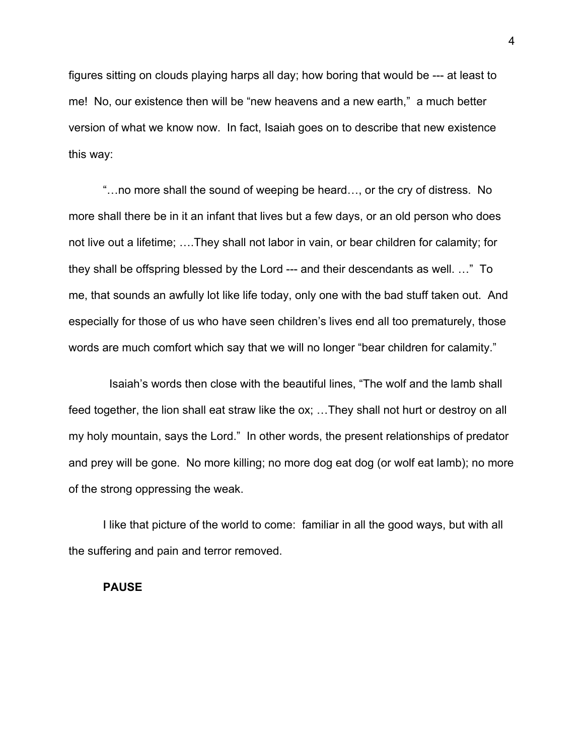figures sitting on clouds playing harps all day; how boring that would be --- at least to me! No, our existence then will be "new heavens and a new earth," a much better version of what we know now. In fact, Isaiah goes on to describe that new existence this way:

"…no more shall the sound of weeping be heard…, or the cry of distress. No more shall there be in it an infant that lives but a few days, or an old person who does not live out a lifetime; ….They shall not labor in vain, or bear children for calamity; for they shall be offspring blessed by the Lord --- and their descendants as well. …" To me, that sounds an awfully lot like life today, only one with the bad stuff taken out. And especially for those of us who have seen children's lives end all too prematurely, those words are much comfort which say that we will no longer "bear children for calamity."

 Isaiah's words then close with the beautiful lines, "The wolf and the lamb shall feed together, the lion shall eat straw like the ox; …They shall not hurt or destroy on all my holy mountain, says the Lord." In other words, the present relationships of predator and prey will be gone. No more killing; no more dog eat dog (or wolf eat lamb); no more of the strong oppressing the weak.

I like that picture of the world to come: familiar in all the good ways, but with all the suffering and pain and terror removed.

### **PAUSE**